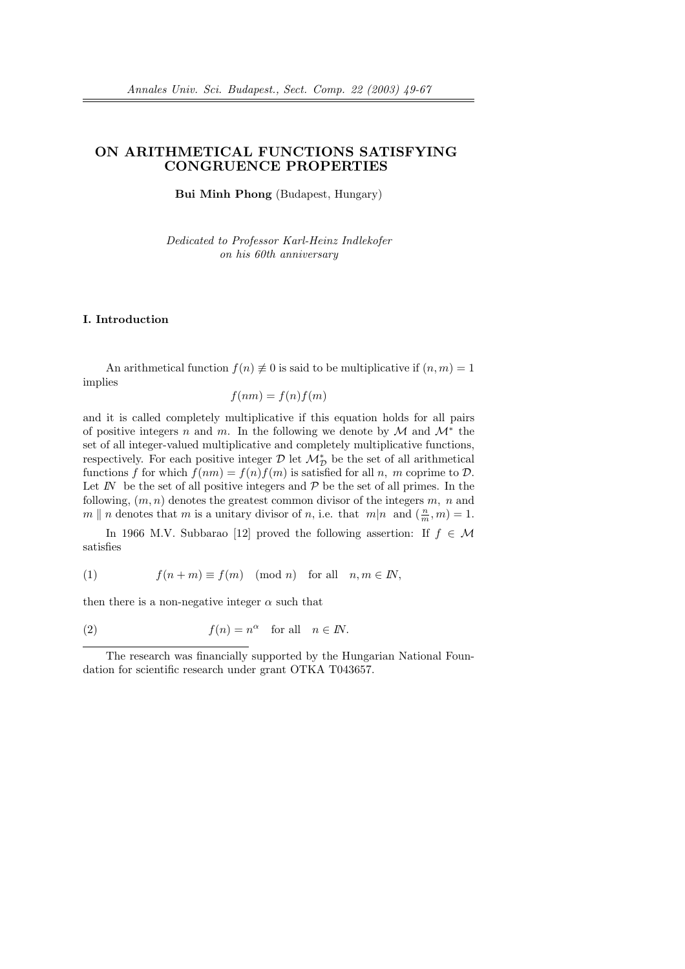# ON ARITHMETICAL FUNCTIONS SATISFYING CONGRUENCE PROPERTIES

Bui Minh Phong (Budapest, Hungary)

Dedicated to Professor Karl-Heinz Indlekofer on his 60th anniversary

## I. Introduction

An arithmetical function  $f(n) \neq 0$  is said to be multiplicative if  $(n, m) = 1$ implies

$$
f(nm) = f(n)f(m)
$$

and it is called completely multiplicative if this equation holds for all pairs of positive integers n and m. In the following we denote by  $\mathcal M$  and  $\mathcal M^*$  the set of all integer-valued multiplicative and completely multiplicative functions, respectively. For each positive integer  $\mathcal D$  let  $\mathcal M^*_{\mathcal D}$  be the set of all arithmetical functions f for which  $f(nm) = f(n)f(m)$  is satisfied for all n, m coprime to  $\mathcal{D}$ . Let  $I\!N$  be the set of all positive integers and  $\mathcal P$  be the set of all primes. In the following,  $(m, n)$  denotes the greatest common divisor of the integers  $m, n$  and  $m \parallel n$  denotes that m is a unitary divisor of n, i.e. that  $m|n$  and  $(\frac{n}{m}, m) = 1$ .

In 1966 M.V. Subbarao [12] proved the following assertion: If  $f \in \mathcal{M}$ satisfies

(1) 
$$
f(n+m) \equiv f(m) \pmod{n} \text{ for all } n, m \in \mathbb{N},
$$

then there is a non-negative integer  $\alpha$  such that

(2) 
$$
f(n) = n^{\alpha} \text{ for all } n \in \mathbb{N}.
$$

The research was financially supported by the Hungarian National Foundation for scientific research under grant OTKA T043657.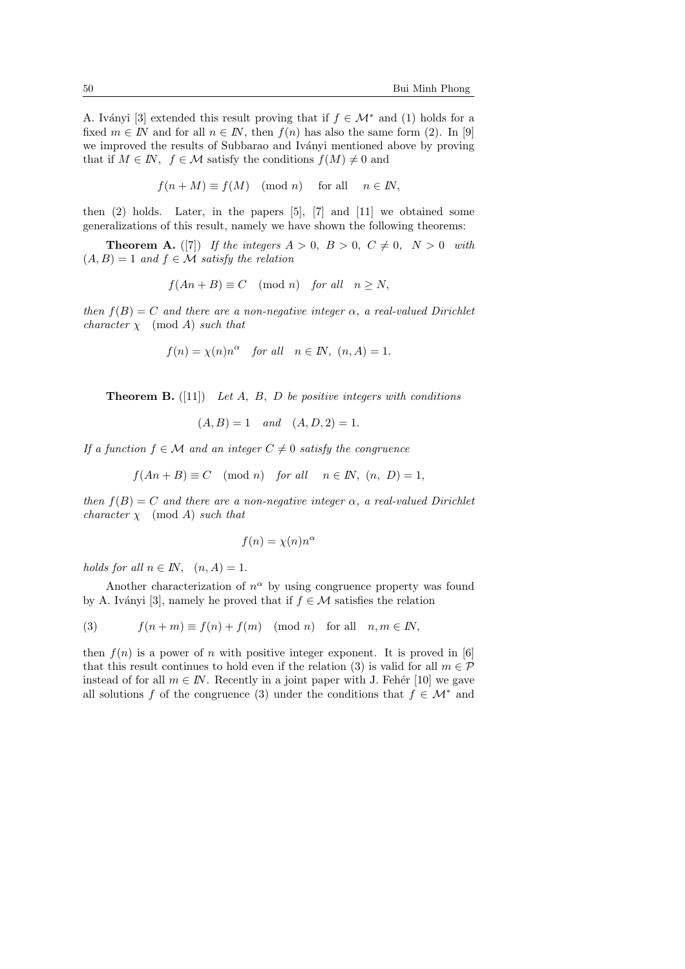A. Iványi [3] extended this result proving that if  $f \in \mathcal{M}^*$  and (1) holds for a fixed  $m \in I\!N$  and for all  $n \in I\!N$ , then  $f(n)$  has also the same form (2). In [9] we improved the results of Subbarao and Iványi mentioned above by proving that if  $M \in \mathbb{N}$ ,  $f \in \mathcal{M}$  satisfy the conditions  $f(M) \neq 0$  and

$$
f(n+M) \equiv f(M) \pmod{n} \quad \text{for all} \quad n \in I\!N,
$$

then (2) holds. Later, in the papers [5], [7] and [11] we obtained some generalizations of this result, namely we have shown the following theorems:

**Theorem A.** ([7]) If the integers  $A > 0$ ,  $B > 0$ ,  $C \neq 0$ ,  $N > 0$  with  $(A, B) = 1$  and  $f \in \mathcal{M}$  satisfy the relation

$$
f(An + B) \equiv C \pmod{n} \quad \text{for all} \quad n \ge N,
$$

then  $f(B) = C$  and there are a non-negative integer  $\alpha$ , a real-valued Dirichlet *character*  $\chi$  (mod A) *such that* 

$$
f(n) = \chi(n)n^{\alpha}
$$
 for all  $n \in \mathbb{N}$ ,  $(n, A) = 1$ .

**Theorem B.** ([11]) Let A, B, D be positive integers with conditions

$$
(A, B) = 1
$$
 and  $(A, D, 2) = 1$ .

If a function  $f \in \mathcal{M}$  and an integer  $C \neq 0$  satisfy the congruence

$$
f(An + B) \equiv C \pmod{n} \quad \text{for all} \quad n \in \mathbb{N}, \ (n, D) = 1,
$$

then  $f(B) = C$  and there are a non-negative integer  $\alpha$ , a real-valued Dirichlet *character*  $\chi$  (mod A) *such that* 

$$
f(n) = \chi(n)n^{\alpha}
$$

holds for all  $n \in I\!N$ ,  $(n, A) = 1$ .

Another characterization of  $n^{\alpha}$  by using congruence property was found by A. Iványi [3], namely he proved that if  $f \in \mathcal{M}$  satisfies the relation

(3) 
$$
f(n+m) \equiv f(n) + f(m) \pmod{n} \text{ for all } n, m \in \mathbb{N},
$$

then  $f(n)$  is a power of n with positive integer exponent. It is proved in [6] that this result continues to hold even if the relation (3) is valid for all  $m \in \mathcal{P}$ instead of for all  $m \in I\!N$ . Recently in a joint paper with J. Fehér [10] we gave all solutions f of the congruence (3) under the conditions that  $f \in \mathcal{M}^*$  and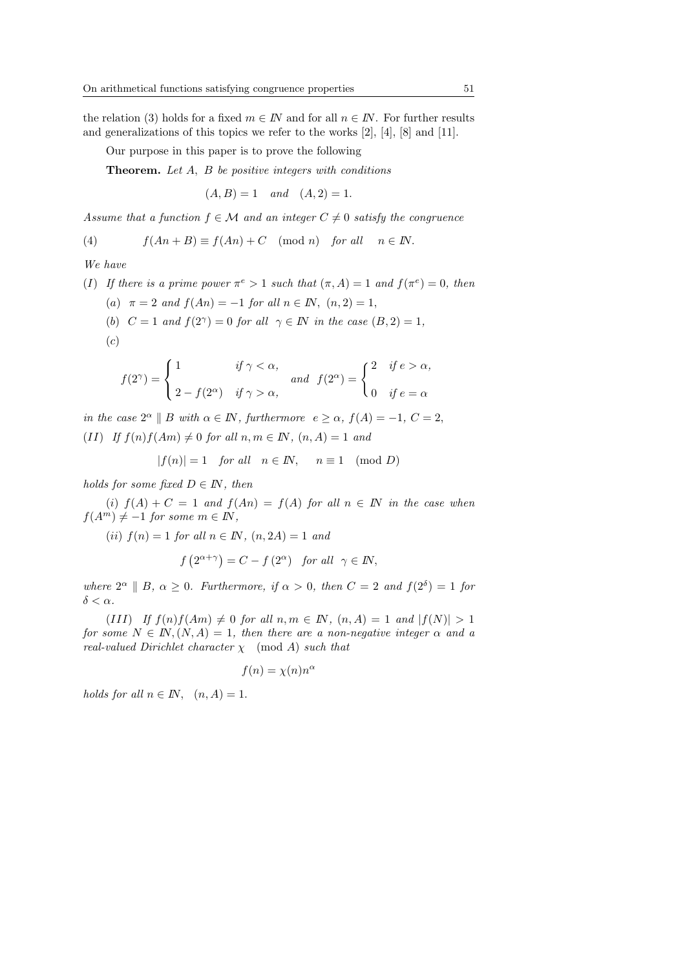the relation (3) holds for a fixed  $m \in \mathbb{N}$  and for all  $n \in \mathbb{N}$ . For further results and generalizations of this topics we refer to the works [2], [4], [8] and [11].

Our purpose in this paper is to prove the following

**Theorem.** Let A, B be positive integers with conditions

$$
(A, B) = 1
$$
 and  $(A, 2) = 1$ .

Assume that a function  $f \in \mathcal{M}$  and an integer  $C \neq 0$  satisfy the congruence

(4) 
$$
f(An+B) \equiv f(An) + C \pmod{n} \text{ for all } n \in \mathbb{N}.
$$

We have

(1) If there is a prime power 
$$
\pi^e > 1
$$
 such that  $(\pi, A) = 1$  and  $f(\pi^e) = 0$ , then  
\n(a)  $\pi = 2$  and  $f(An) = -1$  for all  $n \in \mathbb{N}$ ,  $(n, 2) = 1$ ,

(b)  $C = 1$  and  $f(2^{\gamma}) = 0$  for all  $\gamma \in \mathbb{N}$  in the case  $(B, 2) = 1$ ,  $(c)$ 

$$
f(2^{\gamma}) = \begin{cases} 1 & \text{if } \gamma < \alpha, \\ 2 - f(2^{\alpha}) & \text{if } \gamma > \alpha, \end{cases} \text{ and } f(2^{\alpha}) = \begin{cases} 2 & \text{if } e > \alpha, \\ 0 & \text{if } e = \alpha \end{cases}
$$

in the case  $2^{\alpha} \parallel B$  with  $\alpha \in \mathbb{N}$ , furthermore  $e \geq \alpha$ ,  $f(A) = -1$ ,  $C = 2$ , (II) If  $f(n)f(Am) \neq 0$  for all  $n, m \in \mathbb{N}$ ,  $(n, A) = 1$  and

$$
|f(n)| = 1 \quad for all \quad n \in \mathbb{N}, \quad n \equiv 1 \pmod{D}
$$

holds for some fixed  $D \in I\!N$ , then

(i)  $f(A) + C = 1$  and  $f(An) = f(A)$  for all  $n \in \mathbb{N}$  in the case when  $f(A^m) \neq -1$  for some  $m \in \mathbb{N}$ ,

(ii)  $f(n) = 1$  for all  $n \in \mathbb{N}$ ,  $(n, 2\mathbb{A}) = 1$  and

$$
f(2^{\alpha+\gamma}) = C - f(2^{\alpha})
$$
 for all  $\gamma \in \mathbb{N}$ ,

where  $2^{\alpha} \parallel B$ ,  $\alpha \geq 0$ . Furthermore, if  $\alpha > 0$ , then  $C = 2$  and  $f(2^{\delta}) = 1$  for  $\delta < \alpha$ .

(III) If  $f(n)f(Am) \neq 0$  for all  $n, m \in \mathbb{N}$ ,  $(n, A) = 1$  and  $|f(N)| > 1$ for some  $N \in \mathbb{N}, (N, A) = 1$ , then there are a non-negative integer  $\alpha$  and a real-valued Dirichlet character  $\chi$  (mod A) such that

$$
f(n) = \chi(n)n^{\alpha}
$$

holds for all  $n \in \mathbb{N}$ ,  $(n, A) = 1$ .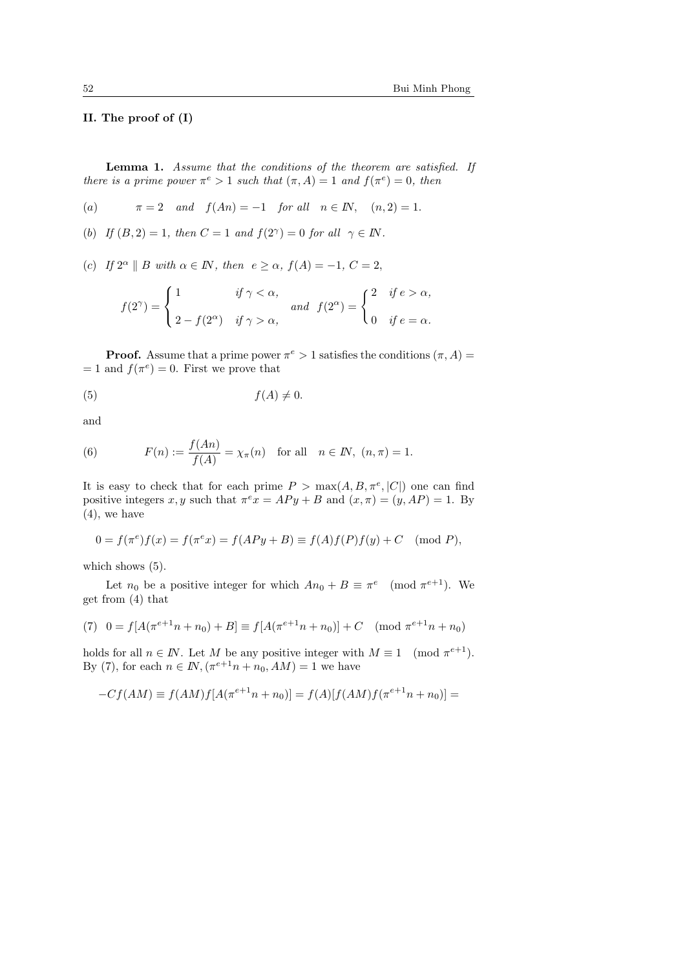# II. The proof of (I)

Lemma 1. Assume that the conditions of the theorem are satisfied. If there is a prime power  $\pi^e > 1$  such that  $(\pi, A) = 1$  and  $f(\pi^e) = 0$ , then

(a) 
$$
\pi = 2
$$
 and  $f(An) = -1$  for all  $n \in \mathbb{N}$ ,  $(n, 2) = 1$ .

(b) If  $(B, 2) = 1$ , then  $C = 1$  and  $f(2^{\gamma}) = 0$  for all  $\gamma \in \mathbb{N}$ .

(c) If  $2^{\alpha} \parallel B$  with  $\alpha \in \mathbb{N}$ , then  $e \geq \alpha$ ,  $f(A) = -1$ ,  $C = 2$ ,

$$
f(2^{\gamma}) = \begin{cases} 1 & \text{if } \gamma < \alpha, \\ 2 - f(2^{\alpha}) & \text{if } \gamma > \alpha, \end{cases} \text{ and } f(2^{\alpha}) = \begin{cases} 2 & \text{if } e > \alpha, \\ 0 & \text{if } e = \alpha. \end{cases}
$$

**Proof.** Assume that a prime power  $\pi^e > 1$  satisfies the conditions  $(\pi, A)$  $= 1$  and  $f(\pi^e) = 0$ . First we prove that

$$
(5) \t\t f(A) \neq 0.
$$

and

(6) 
$$
F(n) := \frac{f(An)}{f(A)} = \chi_{\pi}(n) \text{ for all } n \in \mathbb{N}, (n, \pi) = 1.
$$

It is easy to check that for each prime  $P > \max(A, B, \pi^e, |C|)$  one can find positive integers x, y such that  $\pi^e x = APy + B$  and  $(x, \pi) = (y, AP) = 1$ . By (4), we have

$$
0 = f(\pi^e) f(x) = f(\pi^e x) = f(APy + B) \equiv f(A)f(P)f(y) + C \pmod{P},
$$

which shows  $(5)$ .

Let  $n_0$  be a positive integer for which  $An_0 + B \equiv \pi^e \pmod{\pi^{e+1}}$ . We get from (4) that

(7) 
$$
0 = f[A(\pi^{e+1}n + n_0) + B] \equiv f[A(\pi^{e+1}n + n_0)] + C \pmod{\pi^{e+1}n + n_0}
$$

holds for all  $n \in \mathbb{N}$ . Let M be any positive integer with  $M \equiv 1 \pmod{\pi^{e+1}}$ . By (7), for each  $n \in I\!N$ ,  $(\pi^{e+1}n + n_0, AM) = 1$  we have

$$
-Cf(AM) \equiv f(AM)f[A(\pi^{e+1}n + n_0)] = f(A)[f(AM)f(\pi^{e+1}n + n_0)] =
$$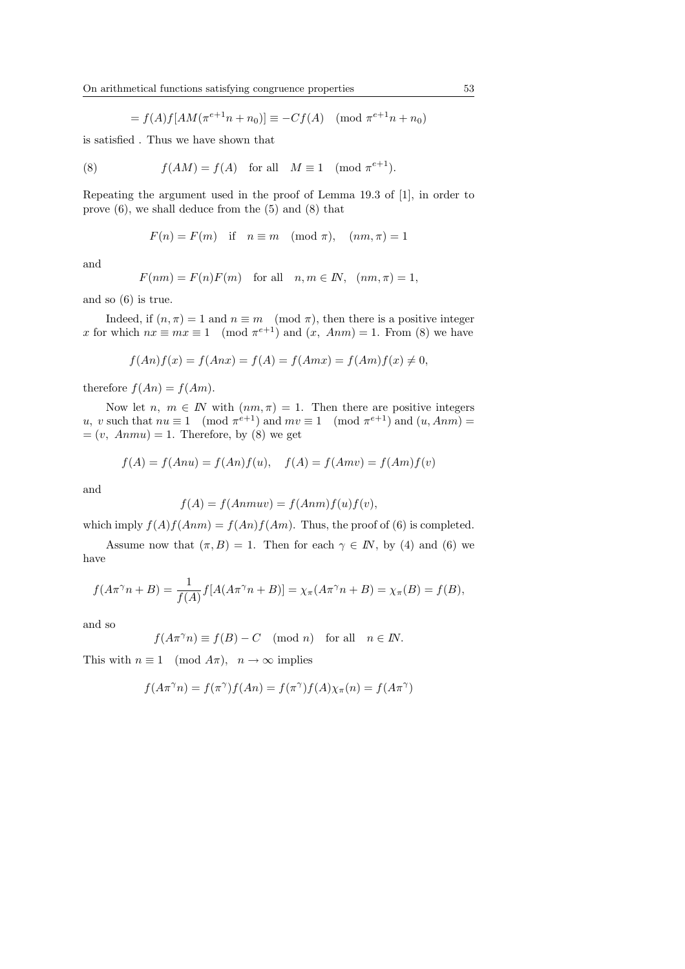$$
= f(A)f[AM(\pi^{e+1}n + n_0)] \equiv -Cf(A) \pmod{\pi^{e+1}n + n_0}
$$

is satisfied . Thus we have shown that

(8) 
$$
f(AM) = f(A) \text{ for all } M \equiv 1 \pmod{\pi^{e+1}}.
$$

Repeating the argument used in the proof of Lemma 19.3 of [1], in order to prove (6), we shall deduce from the (5) and (8) that

$$
F(n) = F(m)
$$
 if  $n \equiv m \pmod{\pi}$ ,  $(nm, \pi) = 1$ 

and

$$
F(nm) = F(n)F(m) \text{ for all } n, m \in \mathbb{N}, (nm, \pi) = 1,
$$

and so (6) is true.

Indeed, if  $(n, \pi) = 1$  and  $n \equiv m \pmod{\pi}$ , then there is a positive integer x for which  $nx \equiv mx \equiv 1 \pmod{\pi^{e+1}}$  and  $(x, Ann) = 1$ . From (8) we have

$$
f(An)f(x) = f(Anx) = f(A) = f(Amx) = f(Am)f(x) \neq 0,
$$

therefore  $f(An) = f(Am)$ .

Now let  $n, m \in \mathbb{N}$  with  $(nm, \pi) = 1$ . Then there are positive integers u, v such that  $nu \equiv 1 \pmod{\pi^{e+1}}$  and  $mv \equiv 1 \pmod{\pi^{e+1}}$  and  $(u, Ann)$  $=(v, \text{ Anmu}) = 1.$  Therefore, by (8) we get

$$
f(A) = f(Anu) = f(An)f(u), \quad f(A) = f(Amv) = f(Am)f(v)
$$

and

$$
f(A) = f(Anmuv) = f(Anm)f(u)f(v),
$$

which imply  $f(A)f(Ann) = f(An)f(Am)$ . Thus, the proof of (6) is completed.

Assume now that  $(\pi, B) = 1$ . Then for each  $\gamma \in I\!N$ , by (4) and (6) we have

$$
f(A\pi^{\gamma}n + B) = \frac{1}{f(A)}f[A(A\pi^{\gamma}n + B)] = \chi_{\pi}(A\pi^{\gamma}n + B) = \chi_{\pi}(B) = f(B),
$$

and so

$$
f(A\pi^{\gamma}n) \equiv f(B) - C \pmod{n} \text{ for all } n \in I\!\!N.
$$

This with  $n \equiv 1 \pmod{A\pi}$ ,  $n \to \infty$  implies

$$
f(A\pi^\gamma n)=f(\pi^\gamma)f(An)=f(\pi^\gamma)f(A)\chi_\pi(n)=f(A\pi^\gamma)
$$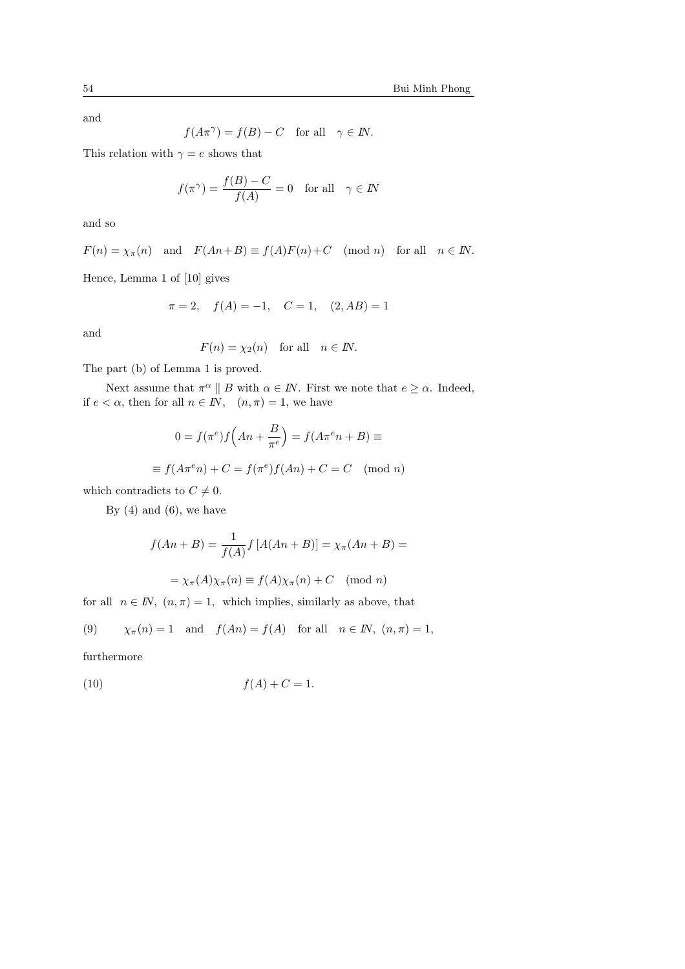and

$$
f(A\pi^{\gamma}) = f(B) - C
$$
 for all  $\gamma \in I\!N$ .

This relation with  $\gamma = e$  shows that

$$
f(\pi^{\gamma}) = \frac{f(B) - C}{f(A)} = 0 \quad \text{for all} \quad \gamma \in \mathbb{N}
$$

and so

$$
F(n) = \chi_{\pi}(n)
$$
 and  $F(An+B) \equiv f(A)F(n)+C \pmod{n}$  for all  $n \in \mathbb{N}$ .

Hence, Lemma 1 of [10] gives

$$
\pi = 2
$$
,  $f(A) = -1$ ,  $C = 1$ ,  $(2, AB) = 1$ 

and

$$
F(n) = \chi_2(n) \quad \text{for all} \quad n \in \mathbb{N}.
$$

The part (b) of Lemma 1 is proved.

Next assume that  $\pi^{\alpha} \parallel B$  with  $\alpha \in \mathbb{N}$ . First we note that  $e \geq \alpha$ . Indeed, if  $e < \alpha$ , then for all  $n \in \mathbb{N}$ ,  $(n, \pi) = 1$ , we have

$$
0 = f(\pi^e) f\left(An + \frac{B}{\pi^e}\right) = f(A\pi^e n + B) \equiv
$$
  

$$
\equiv f(A\pi^e n) + C = f(\pi^e) f(An) + C = C \pmod{n}
$$

which contradicts to  $C \neq 0$ .

By  $(4)$  and  $(6)$ , we have

$$
f(An+B) = \frac{1}{f(A)} f\left[A(An+B)\right] = \chi_{\pi}(An+B) =
$$

$$
= \chi_{\pi}(A)\chi_{\pi}(n) \equiv f(A)\chi_{\pi}(n) + C \pmod{n}
$$

for all  $n \in \mathbb{N}$ ,  $(n, \pi) = 1$ , which implies, similarly as above, that

(9) 
$$
\chi_{\pi}(n) = 1
$$
 and  $f(An) = f(A)$  for all  $n \in \mathbb{N}$ ,  $(n, \pi) = 1$ ,

furthermore

$$
(10) \t\t f(A) + C = 1.
$$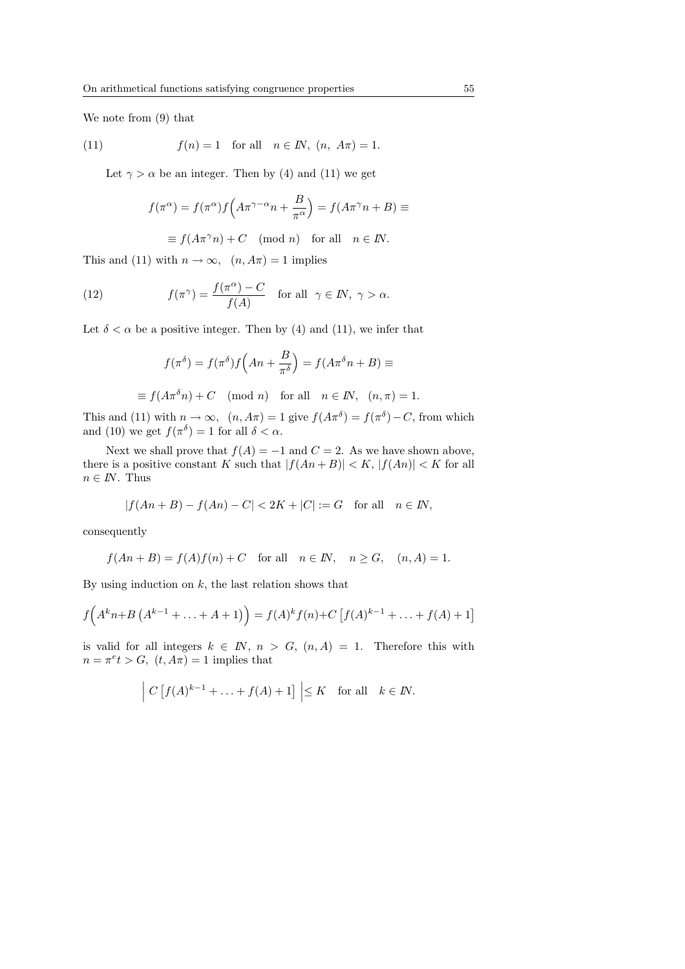We note from (9) that

(11) 
$$
f(n) = 1
$$
 for all  $n \in \mathbb{N}$ ,  $(n, A\pi) = 1$ .

Let  $\gamma > \alpha$  be an integer. Then by (4) and (11) we get

$$
f(\pi^{\alpha}) = f(\pi^{\alpha})f\left(A\pi^{\gamma-\alpha}n + \frac{B}{\pi^{\alpha}}\right) = f(A\pi^{\gamma}n + B) \equiv
$$

 $\equiv f(A\pi^{\gamma}n) + C \pmod{n}$  for all  $n \in I\!N$ .

This and (11) with  $n \to \infty$ ,  $(n, A\pi) = 1$  implies

(12) 
$$
f(\pi^{\gamma}) = \frac{f(\pi^{\alpha}) - C}{f(A)} \quad \text{for all} \ \ \gamma \in \mathbb{N}, \ \gamma > \alpha.
$$

Let  $\delta < \alpha$  be a positive integer. Then by (4) and (11), we infer that

$$
f(\pi^{\delta}) = f(\pi^{\delta})f\left(An + \frac{B}{\pi^{\delta}}\right) = f(A\pi^{\delta}n + B) \equiv
$$

 $\equiv f(A\pi^{\delta}n) + C \pmod{n}$  for all  $n \in \mathbb{N}$ ,  $(n, \pi) = 1$ .

This and (11) with  $n \to \infty$ ,  $(n, A\pi) = 1$  give  $f(A\pi^{\delta}) = f(\pi^{\delta}) - C$ , from which and (10) we get  $f(\pi^{\delta}) = 1$  for all  $\delta < \alpha$ .

Next we shall prove that  $f(A) = -1$  and  $C = 2$ . As we have shown above, there is a positive constant K such that  $|f(An+B)| < K$ ,  $|f(An)| < K$  for all  $n \in I\!N$ . Thus

$$
|f(An+B) - f(An) - C| < 2K + |C| := G \quad \text{for all} \quad n \in \mathbb{N},
$$

consequently

$$
f(An + B) = f(A)f(n) + C \quad \text{for all} \quad n \in \mathbb{N}, \quad n \ge G, \quad (n, A) = 1.
$$

By using induction on  $k$ , the last relation shows that

$$
f(A^{k}n+B(A^{k-1}+\ldots+A+1)) = f(A)^{k} f(n) + C [f(A)^{k-1}+\ldots+f(A)+1]
$$

is valid for all integers  $k \in \mathbb{N}$ ,  $n > G$ ,  $(n, A) = 1$ . Therefore this with  $n = \pi^e t > G$ ,  $(t, A\pi) = 1$  implies that

$$
\left| C \left[ f(A)^{k-1} + \ldots + f(A) + 1 \right] \right| \leq K \quad \text{for all} \quad k \in \mathbb{N}.
$$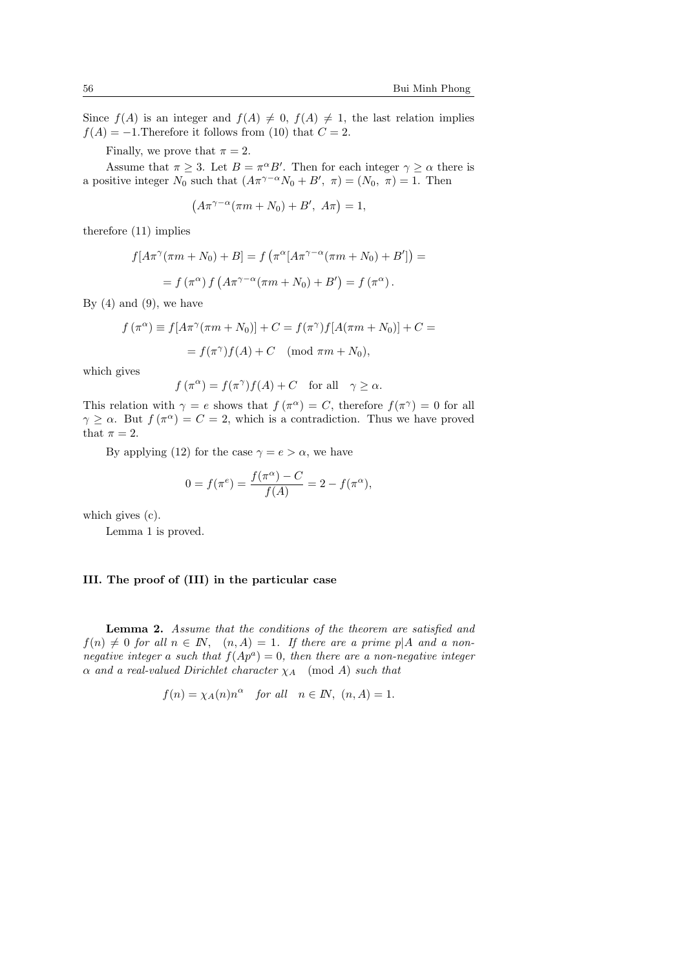Since  $f(A)$  is an integer and  $f(A) \neq 0$ ,  $f(A) \neq 1$ , the last relation implies  $f(A) = -1$ . Therefore it follows from (10) that  $C = 2$ .

Finally, we prove that  $\pi = 2$ .

Assume that  $\pi \geq 3$ . Let  $B = \pi^{\alpha} B'$ . Then for each integer  $\gamma \geq \alpha$  there is a positive integer  $N_0$  such that  $(A\pi^{\gamma-\alpha}N_0 + B', \pi) = (N_0, \pi) = 1$ . Then

$$
(A\pi^{\gamma-\alpha}(\pi m+N_0)+B', A\pi)=1,
$$

therefore (11) implies

$$
f[A\pi^{\gamma}(\pi m + N_0) + B] = f(\pi^{\alpha}[A\pi^{\gamma-\alpha}(\pi m + N_0) + B']) =
$$
  
=  $f(\pi^{\alpha}) f(A\pi^{\gamma-\alpha}(\pi m + N_0) + B') = f(\pi^{\alpha}).$ 

By  $(4)$  and  $(9)$ , we have

$$
f(\pi^{\alpha}) \equiv f[A\pi^{\gamma}(\pi m + N_0)] + C = f(\pi^{\gamma})f[A(\pi m + N_0)] + C =
$$

$$
= f(\pi^{\gamma})f(A) + C \pmod{\pi m + N_0},
$$

which gives

$$
f(\pi^{\alpha}) = f(\pi^{\gamma})f(A) + C
$$
 for all  $\gamma \ge \alpha$ .

This relation with  $\gamma = e$  shows that  $f(\pi^{\alpha}) = C$ , therefore  $f(\pi^{\gamma}) = 0$  for all  $\gamma \geq \alpha$ . But  $f(\pi^{\alpha}) = C = 2$ , which is a contradiction. Thus we have proved that  $\pi = 2$ .

By applying (12) for the case  $\gamma = e > \alpha$ , we have

$$
0 = f(\pi^{e}) = \frac{f(\pi^{\alpha}) - C}{f(A)} = 2 - f(\pi^{\alpha}),
$$

which gives (c).

Lemma 1 is proved.

# III. The proof of (III) in the particular case

Lemma 2. Assume that the conditions of the theorem are satisfied and  $f(n) \neq 0$  for all  $n \in \mathbb{N}$ ,  $(n, A) = 1$ . If there are a prime p|A and a nonnegative integer a such that  $f(Ap^a) = 0$ , then there are a non-negative integer  $\alpha$  and a real-valued Dirichlet character  $\chi_A$  (mod A) such that

$$
f(n) = \chi_A(n)n^{\alpha}
$$
 for all  $n \in \mathbb{N}$ ,  $(n, A) = 1$ .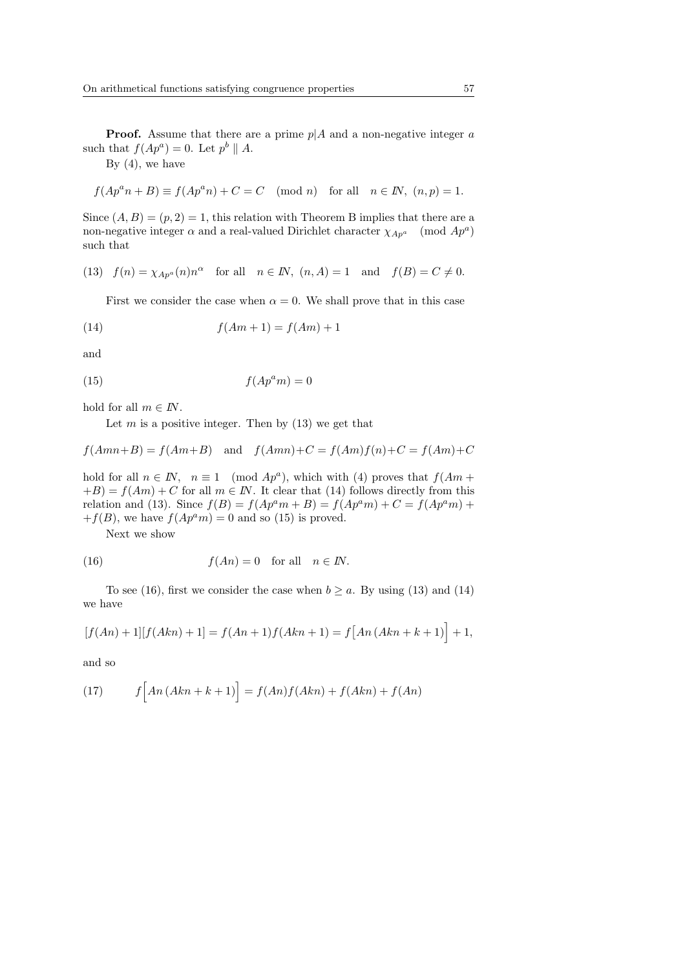By  $(4)$ , we have

$$
f(Ap^an + B) \equiv f(Ap^an) + C = C \pmod{n} \text{ for all } n \in \mathbb{N}, (n, p) = 1.
$$

Since  $(A, B) = (p, 2) = 1$ , this relation with Theorem B implies that there are a non-negative integer  $\alpha$  and a real-valued Dirichlet character  $\chi_{Ap^a}$  (mod  $Ap^a$ ) such that

(13) 
$$
f(n) = \chi_{Ap^a}(n)n^{\alpha}
$$
 for all  $n \in \mathbb{N}$ ,  $(n, A) = 1$  and  $f(B) = C \neq 0$ .

First we consider the case when  $\alpha = 0$ . We shall prove that in this case

$$
(14) \qquad \qquad f(Am+1) = f(Am) + 1
$$

and

$$
(15)\qquad \qquad f(Ap^a m) = 0
$$

hold for all  $m \in I\!N$ .

Let  $m$  is a positive integer. Then by  $(13)$  we get that

 $f(Amn+B) = f(Am+B)$  and  $f(Amn)+C = f(Am)f(n)+C = f(Am)+C$ 

hold for all  $n \in \mathbb{N}$ ,  $n \equiv 1 \pmod{Ap^a}$ , which with (4) proves that  $f(Am +$  $+B$ ) =  $f(Am) + C$  for all  $m \in \mathbb{N}$ . It clear that (14) follows directly from this relation and (13). Since  $f(B) = f(Ap^a m + B) = f(Ap^a m) + C = f(Ap^a m) + C$  $+f(B)$ , we have  $f(Ap^am) = 0$  and so (15) is proved.

Next we show

(16) 
$$
f(An) = 0 \text{ for all } n \in \mathbb{N}.
$$

To see (16), first we consider the case when  $b \ge a$ . By using (13) and (14) we have

$$
[f(An) + 1][f(Akn) + 1] = f(An + 1)f(Akn + 1) = f[An (An + k + 1)] + 1,
$$

and so

(17) 
$$
f\Big[An\left(Akn+k+1\right)\Big] = f(An)f(Akn) + f(Akn) + f(An)
$$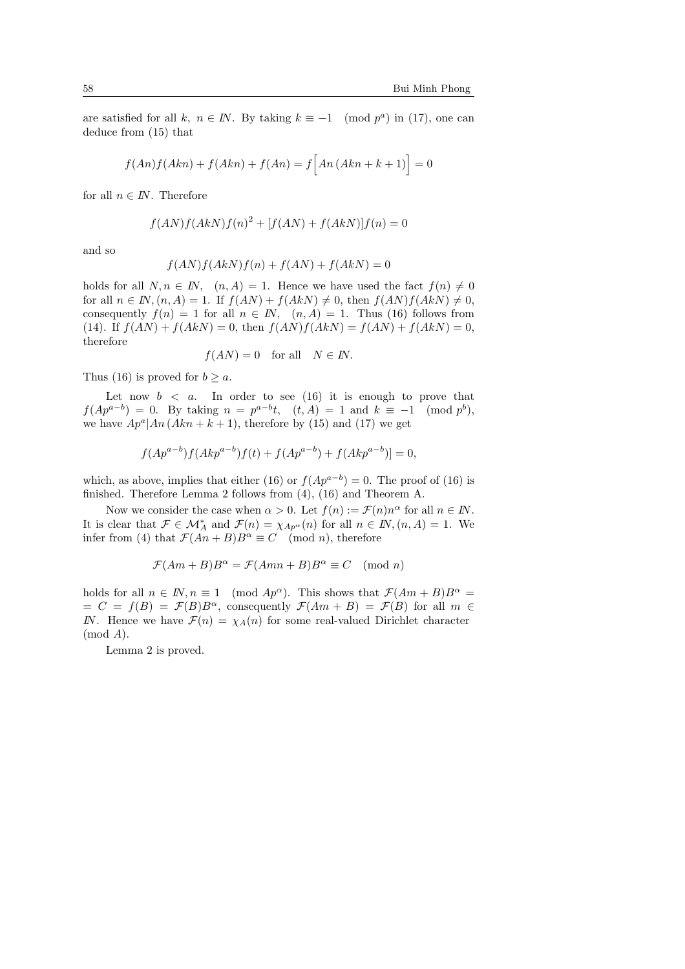are satisfied for all k,  $n \in \mathbb{N}$ . By taking  $k \equiv -1 \pmod{p^a}$  in (17), one can deduce from (15) that

$$
f(An)f(Am) + f(Akn) + f(An) = f\Big[An\left(Akn + k + 1\right)\Big] = 0
$$

for all  $n \in I\!N$ . Therefore

$$
f(AN)f(AkN)f(n)^{2} + [f(AN) + f(AkN)]f(n) = 0
$$

and so

$$
f(AN)f(AkN)f(n) + f(AN) + f(AkN) = 0
$$

holds for all  $N, n \in \mathbb{N}$ ,  $(n, A) = 1$ . Hence we have used the fact  $f(n) \neq 0$ for all  $n \in \mathbb{N}$ ,  $(n, A) = 1$ . If  $f(AN) + f(AkN) \neq 0$ , then  $f(AN)f(AkN) \neq 0$ , consequently  $f(n) = 1$  for all  $n \in \mathbb{N}$ ,  $(n, A) = 1$ . Thus (16) follows from (14). If  $f(AN) + f(AkN) = 0$ , then  $f(AN) f(AkN) = f(AN) + f(AkN) = 0$ , therefore

$$
f(AN) = 0
$$
 for all  $N \in \mathbb{N}$ .

Thus (16) is proved for  $b \geq a$ .

Let now  $b < a$ . In order to see (16) it is enough to prove that  $f(Ap^{a-b}) = 0$ . By taking  $n = p^{a-b}t$ ,  $(t, A) = 1$  and  $k \equiv -1 \pmod{p^b}$ , we have  $Ap^a|An (Akn + k + 1)$ , therefore by (15) and (17) we get

$$
f(Ap^{a-b})f(Akp^{a-b})f(t) + f(Ap^{a-b}) + f(Akp^{a-b})] = 0,
$$

which, as above, implies that either (16) or  $f(Ap^{a-b}) = 0$ . The proof of (16) is finished. Therefore Lemma 2 follows from (4), (16) and Theorem A.

Now we consider the case when  $\alpha > 0$ . Let  $f(n) := \mathcal{F}(n)n^{\alpha}$  for all  $n \in \mathbb{N}$ . It is clear that  $\mathcal{F} \in \mathcal{M}_A^*$  and  $\mathcal{F}(n) = \chi_{Ap^{\alpha}}(n)$  for all  $n \in \mathbb{N}, (n, A) = 1$ . We infer from (4) that  $\mathcal{F}(An+B)B^{\alpha} \equiv C \pmod{n}$ , therefore

$$
\mathcal{F}(Am+B)B^{\alpha} = \mathcal{F}(Amn+B)B^{\alpha} \equiv C \pmod{n}
$$

holds for all  $n \in \mathbb{N}, n \equiv 1 \pmod{Ap^{\alpha}}$ . This shows that  $\mathcal{F}(Am + B)B^{\alpha} =$  $= C = f(B) = \mathcal{F}(B)B^{\alpha}$ , consequently  $\mathcal{F}(Am + B) = \mathcal{F}(B)$  for all  $m \in$ IN. Hence we have  $\mathcal{F}(n) = \chi_A(n)$  for some real-valued Dirichlet character  $(mod A).$ 

Lemma 2 is proved.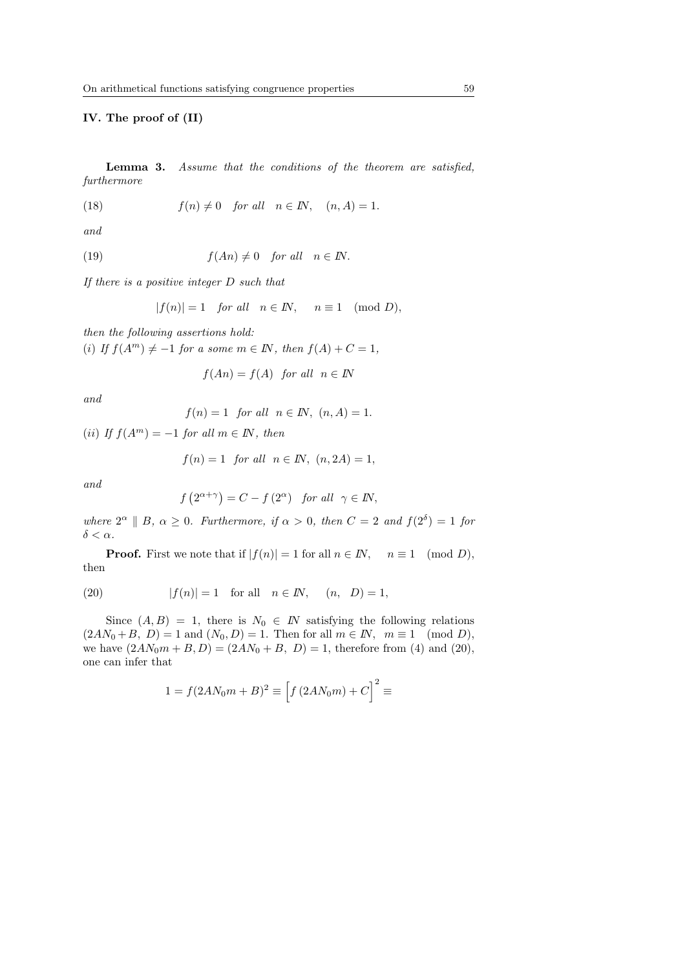#### IV. The proof of (II)

Lemma 3. Assume that the conditions of the theorem are satisfied, furthermore

(18) 
$$
f(n) \neq 0 \quad \text{for all} \quad n \in \mathbb{N}, \quad (n, A) = 1.
$$

and

(19) 
$$
f(An) \neq 0
$$
 for all  $n \in \mathbb{N}$ .

If there is a positive integer D such that

$$
|f(n)| = 1 \quad for all \quad n \in \mathbb{N}, \quad n \equiv 1 \pmod{D},
$$

then the following assertions hold:

(i) If  $f(A^m) \neq -1$  for a some  $m \in \mathbb{N}$ , then  $f(A) + C = 1$ ,

$$
f(An) = f(A) \text{ for all } n \in \mathbb{N}
$$

and

$$
f(n) = 1 \quad \text{for all} \quad n \in \mathbb{N}, \ (n, A) = 1.
$$

(ii) If  $f(A^m) = -1$  for all  $m \in \mathbb{N}$ , then

$$
f(n) = 1 \quad \text{for all} \quad n \in \mathbb{N}, \ (n, 2A) = 1,
$$

and

$$
f(2^{\alpha+\gamma}) = C - f(2^{\alpha})
$$
 for all  $\gamma \in \mathbb{N}$ ,

where  $2^{\alpha} \parallel B$ ,  $\alpha \geq 0$ . Furthermore, if  $\alpha > 0$ , then  $C = 2$  and  $f(2^{\delta}) = 1$  for  $\delta < \alpha$ .

**Proof.** First we note that if  $|f(n)| = 1$  for all  $n \in \mathbb{N}$ ,  $n \equiv 1 \pmod{D}$ , then

(20) 
$$
|f(n)| = 1
$$
 for all  $n \in \mathbb{N}$ ,  $(n, D) = 1$ ,

Since  $(A, B) = 1$ , there is  $N_0 \in I\!N$  satisfying the following relations  $(2AN_0 + B, D) = 1$  and  $(N_0, D) = 1$ . Then for all  $m \in \mathbb{N}$ ,  $m \equiv 1 \pmod{D}$ , we have  $(2AN_0m + B, D) = (2AN_0 + B, D) = 1$ , therefore from (4) and (20), one can infer that

$$
1 = f(2AN_0m + B)^2 \equiv [f(2AN_0m) + C]^2 \equiv
$$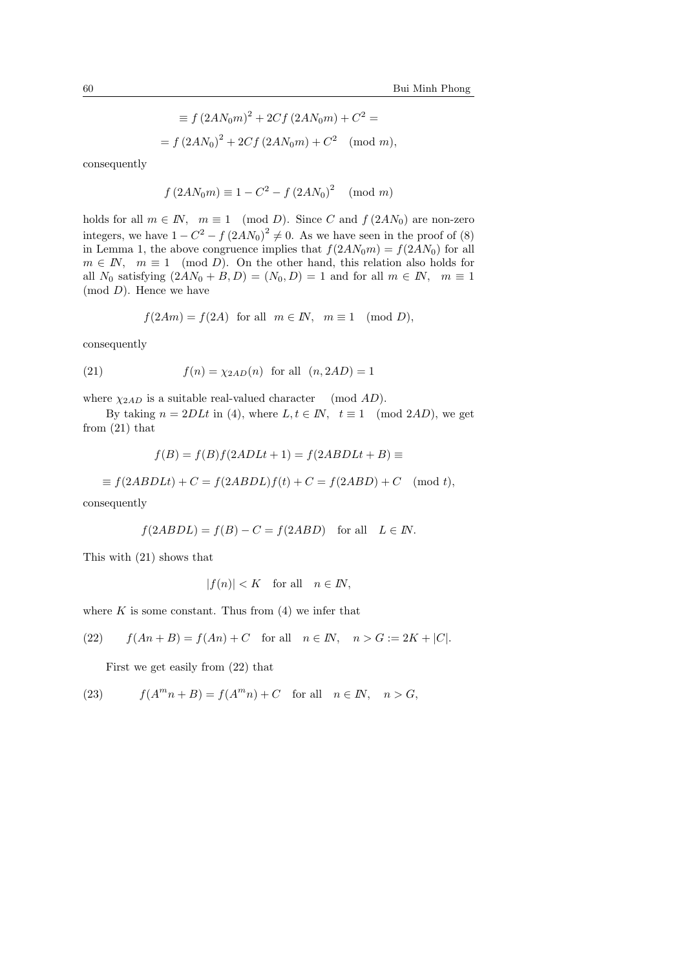$$
\equiv f (2AN_0m)^2 + 2Cf (2AN_0m) + C^2 =
$$
  
=  $f (2AN_0)^2 + 2Cf (2AN_0m) + C^2 \pmod{m}$ ,

consequently

$$
f(2AN_0m) \equiv 1 - C^2 - f(2AN_0)^2 \pmod{m}
$$

holds for all  $m \in \mathbb{N}$ ,  $m \equiv 1 \pmod{D}$ . Since C and  $f(2AN_0)$  are non-zero integers, we have  $1 - C^2 - f (2AN_0)^2 \neq 0$ . As we have seen in the proof of (8) in Lemma 1, the above congruence implies that  $f(2AN_0m) = f(2AN_0)$  for all  $m \in \mathbb{N}$ ,  $m \equiv 1 \pmod{D}$ . On the other hand, this relation also holds for all  $N_0$  satisfying  $(2AN_0 + B, D) = (N_0, D) = 1$  and for all  $m \in \mathbb{N}$ ,  $m \equiv 1$  $(mod D)$ . Hence we have

$$
f(2Am) = f(2A)
$$
 for all  $m \in \mathbb{N}$ ,  $m \equiv 1 \pmod{D}$ ,

consequently

(21) 
$$
f(n) = \chi_{2AD}(n)
$$
 for all  $(n, 2AD) = 1$ 

where  $\chi_{2AD}$  is a suitable real-valued character (mod AD).

By taking  $n = 2DLt$  in (4), where  $L, t \in \mathbb{N}$ ,  $t \equiv 1 \pmod{2AD}$ , we get from (21) that

$$
f(B) = f(B)f(2ADLt + 1) = f(2ABDLt + B) \equiv
$$

 $\equiv f(2ABDLt) + C = f(2ABDL)f(t) + C = f(2ABD) + C \pmod{t},$ 

consequently

$$
f(2ABDL) = f(B) - C = f(2ABD)
$$
 for all  $L \in \mathbb{N}$ .

This with (21) shows that

$$
|f(n)| < K \quad \text{for all} \quad n \in \mathbb{N},
$$

where  $K$  is some constant. Thus from  $(4)$  we infer that

(22) 
$$
f(An + B) = f(An) + C
$$
 for all  $n \in \mathbb{N}$ ,  $n > G := 2K + |C|$ .

First we get easily from (22) that

(23) 
$$
f(A^m n + B) = f(A^m n) + C \text{ for all } n \in \mathbb{N}, n > G,
$$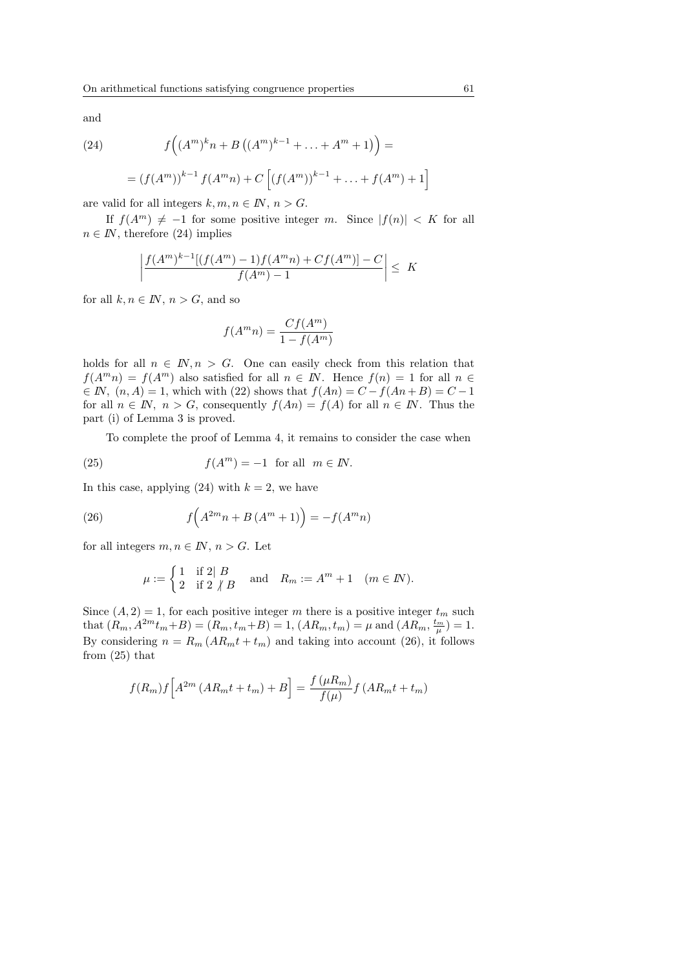and

(24) 
$$
f((A^{m})^{k}n + B((A^{m})^{k-1} + ... + A^{m} + 1)) =
$$

$$
= (f(Am))k-1 f(Amn) + C [(f(Am))k-1 + ... + f(Am) + 1]
$$

are valid for all integers  $k, m, n \in \mathbb{N}, n > G$ .

If  $f(A^m) \neq -1$  for some positive integer m. Since  $|f(n)| < K$  for all  $n \in I\!N$ , therefore (24) implies

$$
\left| \frac{f(A^m)^{k-1}[(f(A^m) - 1)f(A^m n) + Cf(A^m)] - C}{f(A^m) - 1} \right| \leq K
$$

for all  $k, n \in \mathbb{N}$ ,  $n > G$ , and so

$$
f(A^m n) = \frac{Cf(A^m)}{1 - f(A^m)}
$$

holds for all  $n \in \mathbb{N}, n > G$ . One can easily check from this relation that  $f(A^m n) = f(A^m)$  also satisfied for all  $n \in \mathbb{N}$ . Hence  $f(n) = 1$  for all  $n \in \mathbb{N}$  $\in$  *IN*,  $(n, A) = 1$ , which with (22) shows that  $f(An) = C - f(An+B) = C -1$ for all  $n \in \mathbb{N}$ ,  $n > G$ , consequently  $f(An) = f(A)$  for all  $n \in \mathbb{N}$ . Thus the part (i) of Lemma 3 is proved.

To complete the proof of Lemma 4, it remains to consider the case when

(25) 
$$
f(A^m) = -1 \text{ for all } m \in \mathbb{N}.
$$

In this case, applying  $(24)$  with  $k = 2$ , we have

(26) 
$$
f(A^{2m}n + B(A^{m} + 1)) = -f(A^{m}n)
$$

for all integers  $m, n \in \mathbb{N}$ ,  $n > G$ . Let

$$
\mu := \begin{cases} 1 & \text{if } 2 \mid B \\ 2 & \text{if } 2 \nmid B \end{cases} \quad \text{and} \quad R_m := A^m + 1 \quad (m \in \mathbb{N}).
$$

Since  $(A, 2) = 1$ , for each positive integer m there is a positive integer  $t_m$  such that  $(R_m, A^{2m}t_m+B) = (R_m, t_m+B) = 1, (AR_m, t_m) = \mu$  and  $(AR_m, \frac{t_m}{\mu}) = 1.$ By considering  $n = R_m (AR_m t + t_m)$  and taking into account (26), it follows from (25) that

$$
f(R_m)f[A^{2m}(AR_mt+t_m)+B] = \frac{f(\mu R_m)}{f(\mu)}f(AR_mt+t_m)
$$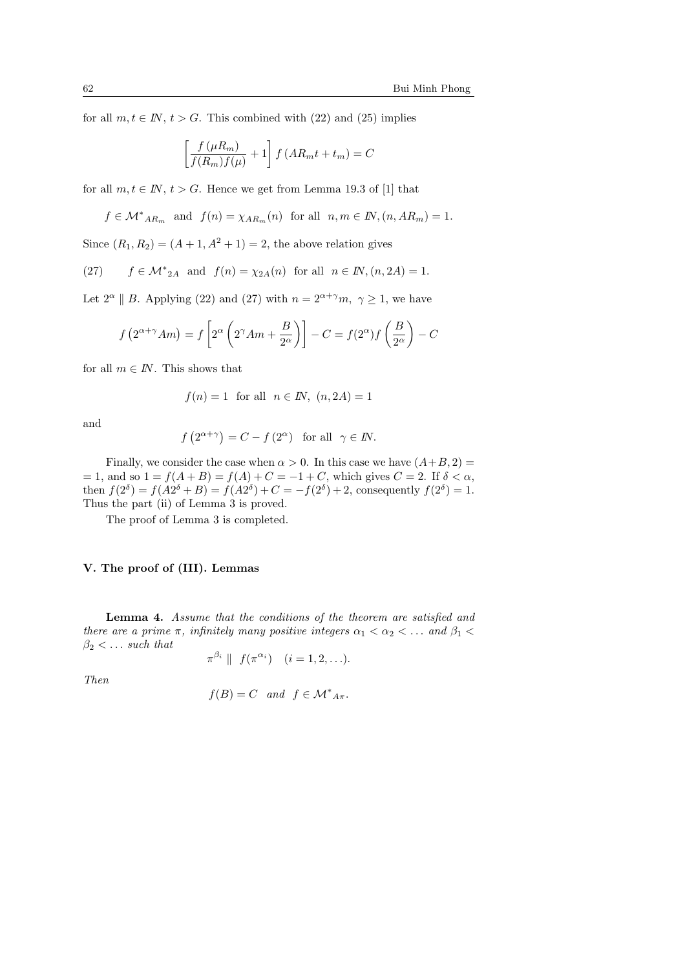for all  $m, t \in \mathbb{N}$ ,  $t > G$ . This combined with (22) and (25) implies

$$
\left[\frac{f(\mu R_m)}{f(R_m)f(\mu)} + 1\right] f\left(A R_m t + t_m\right) = C
$$

for all  $m, t \in \mathbb{N}$ ,  $t > G$ . Hence we get from Lemma 19.3 of [1] that

$$
f \in \mathcal{M}^*_{AR_m}
$$
 and  $f(n) = \chi_{AR_m}(n)$  for all  $n, m \in \mathbb{N}, (n, AR_m) = 1$ .

Since  $(R_1, R_2) = (A + 1, A^2 + 1) = 2$ , the above relation gives

(27) 
$$
f \in \mathcal{M}^*_{2A}
$$
 and  $f(n) = \chi_{2A}(n)$  for all  $n \in \mathbb{N}, (n, 2A) = 1$ .

Let  $2^{\alpha} \parallel B$ . Applying (22) and (27) with  $n = 2^{\alpha+\gamma}m, \gamma \ge 1$ , we have

$$
f(2^{\alpha+\gamma}Am) = f\left[2^{\alpha}\left(2^{\gamma}Am + \frac{B}{2^{\alpha}}\right)\right] - C = f(2^{\alpha})f\left(\frac{B}{2^{\alpha}}\right) - C
$$

for all  $m \in I\!N$ . This shows that

$$
f(n) = 1 \quad \text{for all} \quad n \in \mathbb{N}, \ (n, 2A) = 1
$$

and

$$
f(2^{\alpha+\gamma}) = C - f(2^{\alpha})
$$
 for all  $\gamma \in \mathbb{N}$ .

Finally, we consider the case when  $\alpha > 0$ . In this case we have  $(A+B, 2)$  =  $= 1$ , and so  $1 = f(A + B) = f(A) + C = -1 + C$ , which gives  $C = 2$ . If  $\delta < \alpha$ , then  $f(2^{\delta}) = f(A2^{\delta} + B) = f(A2^{\delta}) + C = -f(2^{\delta}) + 2$ , consequently  $f(2^{\delta}) = 1$ . Thus the part (ii) of Lemma 3 is proved.

The proof of Lemma 3 is completed.

# V. The proof of (III). Lemmas

Lemma 4. Assume that the conditions of the theorem are satisfied and there are a prime  $\pi$ , infinitely many positive integers  $\alpha_1 < \alpha_2 < \dots$  and  $\beta_1 <$  $\beta_2 < \ldots$  such that

$$
\pi^{\beta_i} \parallel f(\pi^{\alpha_i}) \quad (i = 1, 2, \ldots).
$$

Then

$$
f(B) = C \quad and \quad f \in \mathcal{M}^*_{A\pi}.
$$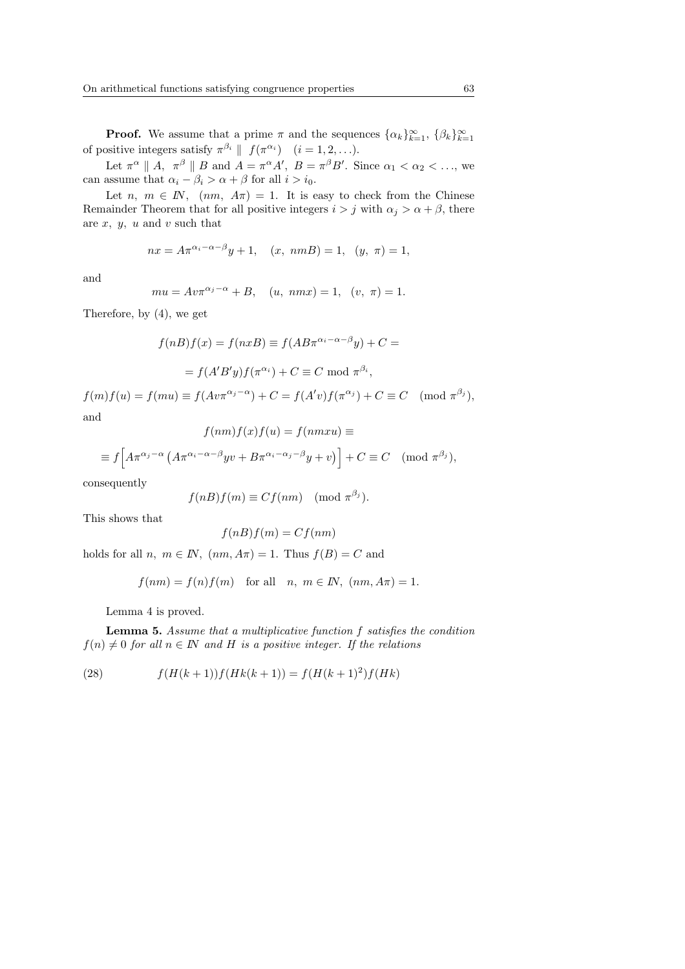**Proof.** We assume that a prime  $\pi$  and the sequences  $\{\alpha_k\}_{k=1}^{\infty}$ ,  $\{\beta_k\}_{k=1}^{\infty}$ of positive integers satisfy  $\pi^{\beta_i} \parallel f(\pi^{\alpha_i}) \mid (i = 1, 2, \ldots).$ 

Let  $\pi^{\alpha} \parallel A$ ,  $\pi^{\beta} \parallel B$  and  $A = \pi^{\alpha} A'$ ,  $B = \pi^{\beta} B'$ . Since  $\alpha_1 < \alpha_2 < \ldots$ , we can assume that  $\alpha_i - \beta_i > \alpha + \beta$  for all  $i > i_0$ .

Let n,  $m \in \mathbb{N}$ ,  $(nm, A\pi) = 1$ . It is easy to check from the Chinese Remainder Theorem that for all positive integers  $i > j$  with  $\alpha_j > \alpha + \beta$ , there are  $x, y, u$  and  $v$  such that

$$
nx = A\pi^{\alpha_i - \alpha - \beta}y + 1
$$
,  $(x, nmB) = 1$ ,  $(y, \pi) = 1$ ,

and

$$
mu = Av\pi^{\alpha_j - \alpha} + B
$$
,  $(u, nmx) = 1$ ,  $(v, \pi) = 1$ .

Therefore, by (4), we get

$$
f(nB)f(x) = f(nxB) \equiv f(AB\pi^{\alpha_i - \alpha - \beta}y) + C =
$$

$$
= f(A'B'y)f(\pi^{\alpha_i}) + C \equiv C \mod \pi^{\beta_i},
$$

 $f(m) f(u) = f(mu) \equiv f(Av\pi^{\alpha_j - \alpha}) + C = f(A'v) f(\pi^{\alpha_j}) + C \equiv C \pmod{\pi^{\beta_j}}$ and

$$
f(nm)f(x)f(u) = f(nmxu) \equiv
$$
  

$$
\equiv f\left[A\pi^{\alpha_j - \alpha} \left(A\pi^{\alpha_i - \alpha - \beta} yv + B\pi^{\alpha_i - \alpha_j - \beta} y + v\right)\right] + C \equiv C \pmod{\pi^{\beta_j}},
$$

consequently

$$
f(nB)f(m) \equiv Cf(nm) \pmod{\pi^{\beta_j}}.
$$

This shows that

$$
f(nB)f(m) = Cf(nm)
$$

holds for all  $n, m \in \mathbb{N}$ ,  $(nm, A\pi) = 1$ . Thus  $f(B) = C$  and

$$
f(nm) = f(n)f(m) \text{ for all } n, m \in \mathbb{N}, (nm, A\pi) = 1.
$$

Lemma 4 is proved.

Lemma 5. Assume that a multiplicative function f satisfies the condition  $f(n) \neq 0$  for all  $n \in \mathbb{N}$  and H is a positive integer. If the relations

(28) 
$$
f(H(k+1))f(Hk(k+1)) = f(H(k+1)^2)f(Hk)
$$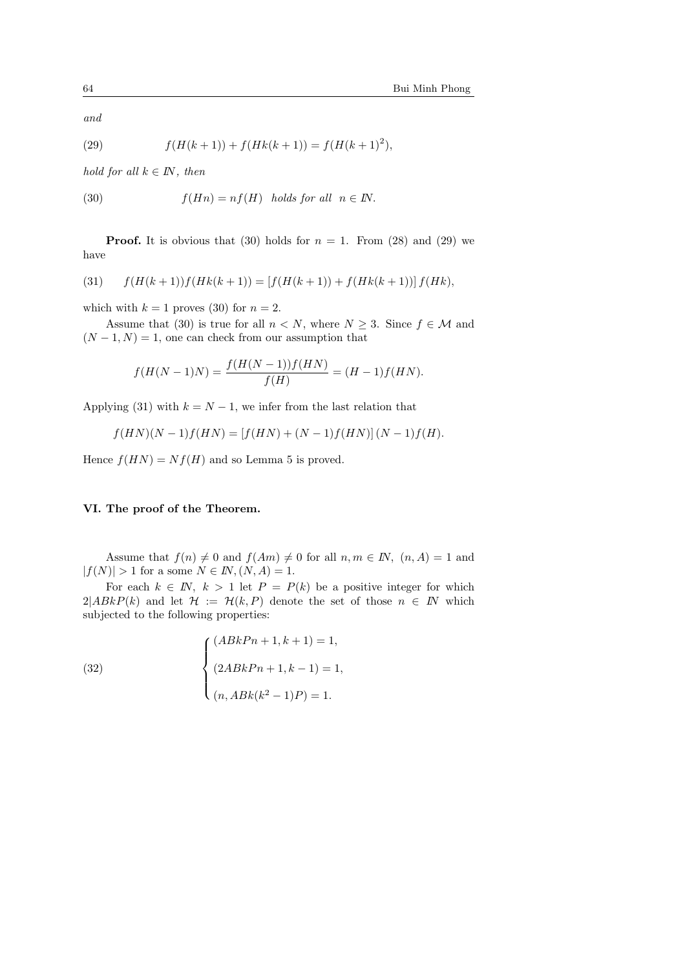and

(29) 
$$
f(H(k+1)) + f(Hk(k+1)) = f(H(k+1)^2),
$$

hold for all  $k \in I\!N$ , then

(30) 
$$
f(Hn) = nf(H) \text{ holds for all } n \in \mathbb{N}.
$$

**Proof.** It is obvious that (30) holds for  $n = 1$ . From (28) and (29) we have

(31) 
$$
f(H(k+1))f(Hk(k+1)) = [f(H(k+1)) + f(Hk(k+1))]f(Hk),
$$

which with  $k = 1$  proves (30) for  $n = 2$ .

Assume that (30) is true for all  $n < N$ , where  $N \geq 3$ . Since  $f \in M$  and  $(N-1, N) = 1$ , one can check from our assumption that

$$
f(H(N-1)N) = \frac{f(H(N-1))f(HN)}{f(H)} = (H-1)f(HN).
$$

Applying (31) with  $k = N - 1$ , we infer from the last relation that

$$
f(HN)(N-1)f(HN) = [f(HN) + (N-1)f(HN)](N-1)f(H).
$$

Hence  $f(HN) = Nf(H)$  and so Lemma 5 is proved.

## VI. The proof of the Theorem.

Assume that  $f(n) \neq 0$  and  $f(Am) \neq 0$  for all  $n, m \in \mathbb{N}$ ,  $(n, A) = 1$  and  $|f(N)| > 1$  for a some  $N \in I\!N, (N, A) = 1$ .

For each  $k \in \mathbb{N}$ ,  $k > 1$  let  $P = P(k)$  be a positive integer for which  $2|ABkP(k)$  and let  $\mathcal{H} := \mathcal{H}(k, P)$  denote the set of those  $n \in \mathbb{N}$  which subjected to the following properties:

(32) 
$$
\begin{cases} (ABkPn+1, k+1) = 1, \\ (2ABkPn+1, k-1) = 1, \\ (n, ABk(k^2-1)P) = 1. \end{cases}
$$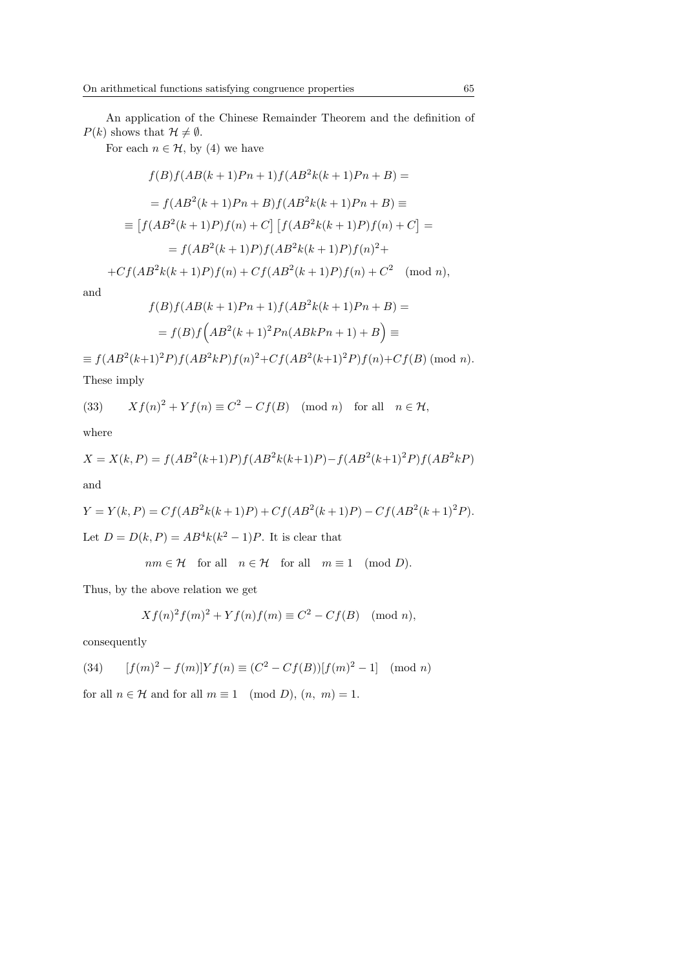For each  $n \in \mathcal{H}$ , by (4) we have

$$
f(B)f(AB(k+1)Pn+1)f(AB^{2}k(k+1)Pn+B) =
$$
  
=  $f(AB^{2}(k+1)Pn+B)f(AB^{2}k(k+1)Pn+B) \equiv$   

$$
\equiv [f(AB^{2}(k+1)P)f(n)+C] [f(AB^{2}k(k+1)P)f(n)+C] =
$$
  
=  $f(AB^{2}(k+1)P)f(AB^{2}k(k+1)P)f(n)^{2} +$   
+ $Cf(AB^{2}k(k+1)P)f(n) + Cf(AB^{2}(k+1)P)f(n) + C^{2} \pmod{n},$ 

and

$$
f(B)f(AB(k+1)Pn+1)f(AB^{2}k(k+1)Pn+B) =
$$

$$
= f(B)f\left(AB^{2}(k+1)^{2}Pn(ABkPn+1)+B\right) \equiv
$$

 $\equiv f(AB^2(k+1)^2P)f(AB^2kP)f(n)^2+Cf(AB^2(k+1)^2P)f(n)+Cf(B)$  (mod n). These imply

(33) 
$$
Xf(n)^{2} + Yf(n) \equiv C^{2} - Cf(B) \pmod{n} \text{ for all } n \in \mathcal{H},
$$

where

$$
X = X(k, P) = f(AB^{2}(k+1)P)f(AB^{2}k(k+1)P) - f(AB^{2}(k+1)^{2}P)f(AB^{2}kP)
$$
  
and

$$
Y = Y(k, P) = Cf(AB^{2}k(k+1)P) + Cf(AB^{2}(k+1)P) - Cf(AB^{2}(k+1)^{2}P).
$$

Let  $D = D(k, P) = AB^4k(k^2 - 1)P$ . It is clear that

$$
nm \in \mathcal{H}
$$
 for all  $n \in \mathcal{H}$  for all  $m \equiv 1 \pmod{D}$ .

Thus, by the above relation we get

$$
Xf(n)2f(m)2 + Yf(n)f(m) \equiv C2 - Cf(B) \pmod{n},
$$

consequently

(34) 
$$
[f(m)^{2} - f(m)]Yf(n) \equiv (C^{2} - Cf(B))[f(m)^{2} - 1] \pmod{n}
$$

for all  $n \in \mathcal{H}$  and for all  $m \equiv 1 \pmod{D}$ ,  $(n, m) = 1$ .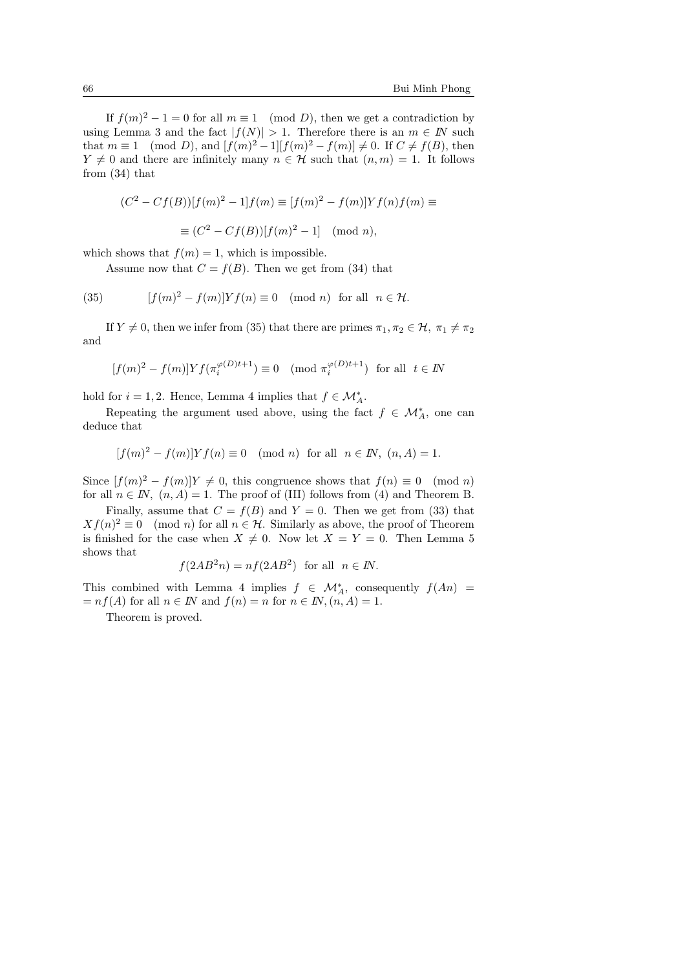If  $f(m)^2 - 1 = 0$  for all  $m \equiv 1 \pmod{D}$ , then we get a contradiction by using Lemma 3 and the fact  $|f(N)| > 1$ . Therefore there is an  $m \in \mathbb{N}$  such that  $m \equiv 1 \pmod{D}$ , and  $[f(m)^2 - 1][f(m)^2 - f(m)] \neq 0$ . If  $C \neq f(B)$ , then  $Y \neq 0$  and there are infinitely many  $n \in \mathcal{H}$  such that  $(n, m) = 1$ . It follows from (34) that

$$
(C2 - Cf(B))[f(m)2 - 1]f(m) \equiv [f(m)2 - f(m)]Yf(n)f(m) \equiv
$$

$$
\equiv (C2 - Cf(B))[f(m)2 - 1] \pmod{n},
$$

which shows that  $f(m) = 1$ , which is impossible.

Assume now that  $C = f(B)$ . Then we get from (34) that

(35)  $[f(m)^2 - f(m)]Yf(n) \equiv 0 \pmod{n}$  for all  $n \in \mathcal{H}$ .

If  $Y \neq 0$ , then we infer from (35) that there are primes  $\pi_1, \pi_2 \in \mathcal{H}, \pi_1 \neq \pi_2$ and

$$
[f(m)^2 - f(m)] Y f(\pi_i^{\varphi(D)t+1}) \equiv 0 \pmod{\pi_i^{\varphi(D)t+1}} \text{ for all } t \in \mathbb{N}
$$

hold for  $i = 1, 2$ . Hence, Lemma 4 implies that  $f \in \mathcal{M}_{A}^{*}$ .

Repeating the argument used above, using the fact  $f \in \mathcal{M}_{A}^*$ , one can deduce that

$$
[f(m)^2 - f(m)]Yf(n) \equiv 0 \pmod{n} \text{ for all } n \in \mathbb{N}, (n, A) = 1.
$$

Since  $[f(m)^2 - f(m)]Y \neq 0$ , this congruence shows that  $f(n) \equiv 0 \pmod{n}$ for all  $n \in \mathbb{N}$ ,  $(n, A) = 1$ . The proof of (III) follows from (4) and Theorem B.

Finally, assume that  $C = f(B)$  and  $Y = 0$ . Then we get from (33) that  $Xf(n)^2 \equiv 0 \pmod{n}$  for all  $n \in \mathcal{H}$ . Similarly as above, the proof of Theorem is finished for the case when  $X \neq 0$ . Now let  $X = Y = 0$ . Then Lemma 5 shows that

$$
f(2AB^2n) = nf(2AB^2)
$$
 for all  $n \in \mathbb{N}$ .

This combined with Lemma 4 implies  $f \in \mathcal{M}_{A}^{*}$ , consequently  $f(An)$  =  $= nf(A)$  for all  $n \in \mathbb{N}$  and  $f(n) = n$  for  $n \in \mathbb{N}$ ,  $(n, A) = 1$ .

Theorem is proved.